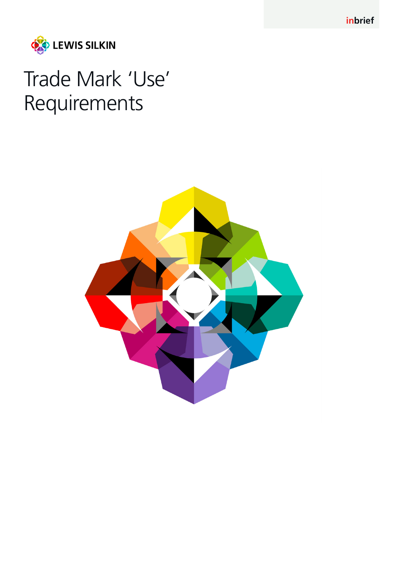**inbrief**



# Trade Mark 'Use' Requirements

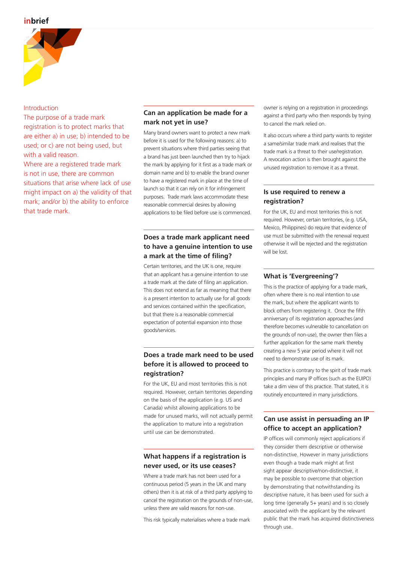## **inbrief**



#### Introduction

The purpose of a trade mark registration is to protect marks that are either a) in use; b) intended to be used; or c) are not being used, but with a valid reason.

Where are a registered trade mark is not in use, there are common situations that arise where lack of use might impact on a) the validity of that mark; and/or b) the ability to enforce that trade mark.

# **Can an application be made for a mark not yet in use?**

Many brand owners want to protect a new mark before it is used for the following reasons: a) to prevent situations where third parties seeing that a brand has just been launched then try to hijack the mark by applying for it first as a trade mark or domain name and b) to enable the brand owner to have a registered mark in place at the time of launch so that it can rely on it for infringement purposes. Trade mark laws accommodate these reasonable commercial desires by allowing applications to be filed before use is commenced.

# **Does a trade mark applicant need to have a genuine intention to use a mark at the time of filing?**

Certain territories, and the UK is one, require that an applicant has a genuine intention to use a trade mark at the date of filing an application. This does not extend as far as meaning that there is a present intention to actually use for all goods and services contained within the specification, but that there is a reasonable commercial expectation of potential expansion into those goods/services.

# **Does a trade mark need to be used before it is allowed to proceed to registration?**

For the UK, EU and most territories this is not required. However, certain territories depending on the basis of the application (e.g. US and Canada) whilst allowing applications to be made for unused marks, will not actually permit the application to mature into a registration until use can be demonstrated.

## **What happens if a registration is never used, or its use ceases?**

Where a trade mark has not been used for a continuous period (5 years in the UK and many others) then it is at risk of a third party applying to cancel the registration on the grounds of non-use, unless there are valid reasons for non-use.

This risk typically materialises where a trade mark

owner is relying on a registration in proceedings against a third party who then responds by trying to cancel the mark relied on.

It also occurs where a third party wants to register a same/similar trade mark and realises that the trade mark is a threat to their use/registration. A revocation action is then brought against the unused registration to remove it as a threat.

## **Is use required to renew a registration?**

For the UK, EU and most territories this is not required. However, certain territories, (e.g. USA, Mexico, Philippines) do require that evidence of use must be submitted with the renewal request otherwise it will be rejected and the registration will be lost.

#### **What is 'Evergreening'?**

This is the practice of applying for a trade mark, often where there is no real intention to use the mark, but where the applicant wants to block others from registering it. Once the fifth anniversary of its registration approaches (and therefore becomes vulnerable to cancellation on the grounds of non-use), the owner then files a further application for the same mark thereby creating a new 5 year period where it will not need to demonstrate use of its mark.

This practice is contrary to the spirit of trade mark principles and many IP offices (such as the EUIPO) take a dim view of this practice. That stated, it is routinely encountered in many jurisdictions.

# **Can use assist in persuading an IP office to accept an application?**

IP offices will commonly reject applications if they consider them descriptive or otherwise non-distinctive. However in many jurisdictions even though a trade mark might at first sight appear descriptive/non-distinctive, it may be possible to overcome that objection by demonstrating that notwithstanding its descriptive nature, it has been used for such a long time (generally 5+ years) and is so closely associated with the applicant by the relevant public that the mark has acquired distinctiveness through use.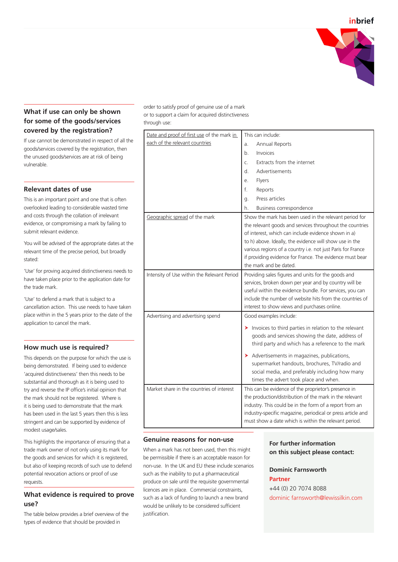

# **What if use can only be shown for some of the goods/services covered by the registration?**

If use cannot be demonstrated in respect of all the goods/services covered by the registration, then the unused goods/services are at risk of being vulnerable.

## **Relevant dates of use**

This is an important point and one that is often overlooked leading to considerable wasted time and costs through the collation of irrelevant evidence, or compromising a mark by failing to submit relevant evidence.

You will be advised of the appropriate dates at the relevant time of the precise period, but broadly stated:

'Use' for proving acquired distinctiveness needs to have taken place prior to the application date for the trade mark.

'Use' to defend a mark that is subject to a cancellation action. This use needs to have taken place within in the 5 years prior to the date of the application to cancel the mark.

## **How much use is required?**

This depends on the purpose for which the use is being demonstrated. If being used to evidence 'acquired distinctiveness' then this needs to be substantial and thorough as it is being used to try and reverse the IP office's initial opinion that the mark should not be registered. Where is it is being used to demonstrate that the mark has been used in the last 5 years then this is less stringent and can be supported by evidence of modest usage/sales.

This highlights the importance of ensuring that a trade mark owner of not only using its mark for the goods and services for which it is registered, but also of keeping records of such use to defend potential revocation actions or proof of use requests.

# **What evidence is required to prove use?**

The table below provides a brief overview of the types of evidence that should be provided in

order to satisfy proof of genuine use of a mark or to support a claim for acquired distinctiveness through use:

| Date and proof of first use of the mark in  | This can include:                                                                                                                                                                                                                                                                                                                                                                         |
|---------------------------------------------|-------------------------------------------------------------------------------------------------------------------------------------------------------------------------------------------------------------------------------------------------------------------------------------------------------------------------------------------------------------------------------------------|
| each of the relevant countries              | Annual Reports<br>a.                                                                                                                                                                                                                                                                                                                                                                      |
|                                             | Invoices<br>b.                                                                                                                                                                                                                                                                                                                                                                            |
|                                             | Extracts from the internet<br>$\mathsf{C}$ .                                                                                                                                                                                                                                                                                                                                              |
|                                             | Advertisements<br>d.                                                                                                                                                                                                                                                                                                                                                                      |
|                                             | Flyers<br>e.                                                                                                                                                                                                                                                                                                                                                                              |
|                                             | f.<br>Reports                                                                                                                                                                                                                                                                                                                                                                             |
|                                             | Press articles<br>q.                                                                                                                                                                                                                                                                                                                                                                      |
|                                             | Business correspondence<br>h.                                                                                                                                                                                                                                                                                                                                                             |
| Geographic spread of the mark               | Show the mark has been used in the relevant period for<br>the relevant goods and services throughout the countries<br>of interest, which can include evidence shown in a)<br>to h) above. Ideally, the evidence will show use in the<br>various regions of a country i.e. not just Paris for France<br>if providing evidence for France. The evidence must bear<br>the mark and be dated. |
| Intensity of Use within the Relevant Period | Providing sales figures and units for the goods and                                                                                                                                                                                                                                                                                                                                       |
|                                             | services, broken down per year and by country will be<br>useful within the evidence bundle. For services, you can<br>include the number of website hits from the countries of<br>interest to show views and purchases online.                                                                                                                                                             |
| Advertising and advertising spend           | Good examples include:                                                                                                                                                                                                                                                                                                                                                                    |
|                                             | > Invoices to third parties in relation to the relevant<br>goods and services showing the date, address of<br>third party and which has a reference to the mark<br>Advertisements in magazines, publications,<br>supermarket handouts, brochures, TV/radio and                                                                                                                            |
|                                             | social media, and preferably including how many<br>times the advert took place and when.                                                                                                                                                                                                                                                                                                  |
| Market share in the countries of interest   | This can be evidence of the proprietor's presence in<br>the production/distribution of the mark in the relevant<br>industry. This could be in the form of a report from an<br>industry-specific magazine, periodical or press article and<br>must show a date which is within the relevant period.                                                                                        |

# **Genuine reasons for non-use**

When a mark has not been used, then this might be permissible if there is an acceptable reason for non-use. In the UK and EU these include scenarios such as the inability to put a pharmaceutical produce on sale until the requisite governmental licences are in place. Commercial constraints, such as a lack of funding to launch a new brand would be unlikely to be considered sufficient justification.

## **For further information on this subject please contact:**

# **Dominic Farnsworth Partner**  +44 (0) 20 7074 8088 dominic farnsworth@lewissilkin.com